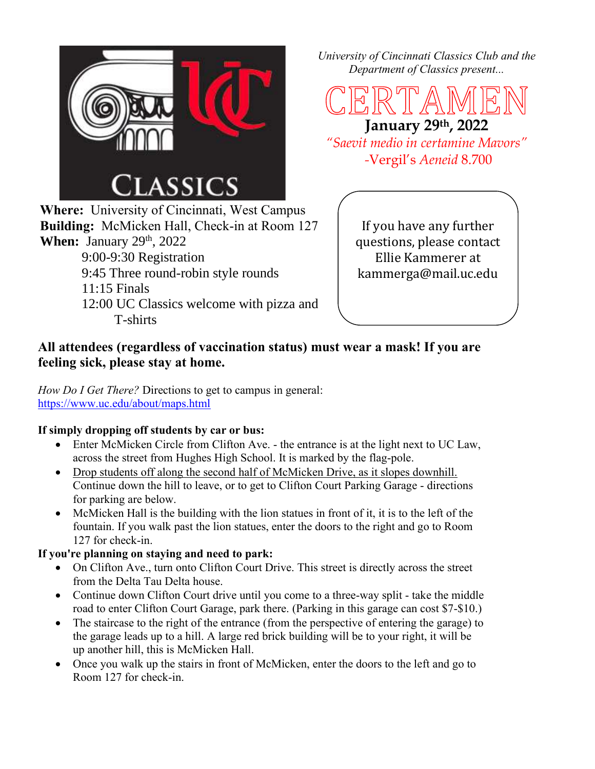

**Where:** University of Cincinnati, West Campus **Building:** McMicken Hall, Check-in at Room 127 **When:** January 29<sup>th</sup>, 2022 9:00-9:30 Registration

- 9:45 Three round-robin style rounds 11:15 Finals
- 12:00 UC Classics welcome with pizza and T-shirts

*University of Cincinnati Classics Club and the Department of Classics present...*

**January 29th, 2022** *"Saevit medio in certamine Mavors"*

*-*Vergil's *Aeneid* 8.700

If you have any further questions, please contact Ellie Kammerer at kammerga@mail.uc.edu

## **All attendees (regardless of vaccination status) must wear a mask! If you are feeling sick, please stay at home.**

*How Do I Get There?* Directions to get to campus in general: <https://www.uc.edu/about/maps.html>

## **If simply dropping off students by car or bus:**

- Enter McMicken Circle from Clifton Ave. the entrance is at the light next to UC Law, across the street from Hughes High School. It is marked by the flag-pole.
- Drop students off along the second half of McMicken Drive, as it slopes downhill. Continue down the hill to leave, or to get to Clifton Court Parking Garage - directions for parking are below.
- McMicken Hall is the building with the lion statues in front of it, it is to the left of the fountain. If you walk past the lion statues, enter the doors to the right and go to Room 127 for check-in.

## **If you're planning on staying and need to park:**

- On Clifton Ave., turn onto Clifton Court Drive. This street is directly across the street from the Delta Tau Delta house.
- Continue down Clifton Court drive until you come to a three-way split take the middle road to enter Clifton Court Garage, park there. (Parking in this garage can cost \$7-\$10.)
- The staircase to the right of the entrance (from the perspective of entering the garage) to the garage leads up to a hill. A large red brick building will be to your right, it will be up another hill, this is McMicken Hall.
- Once you walk up the stairs in front of McMicken, enter the doors to the left and go to Room 127 for check-in.